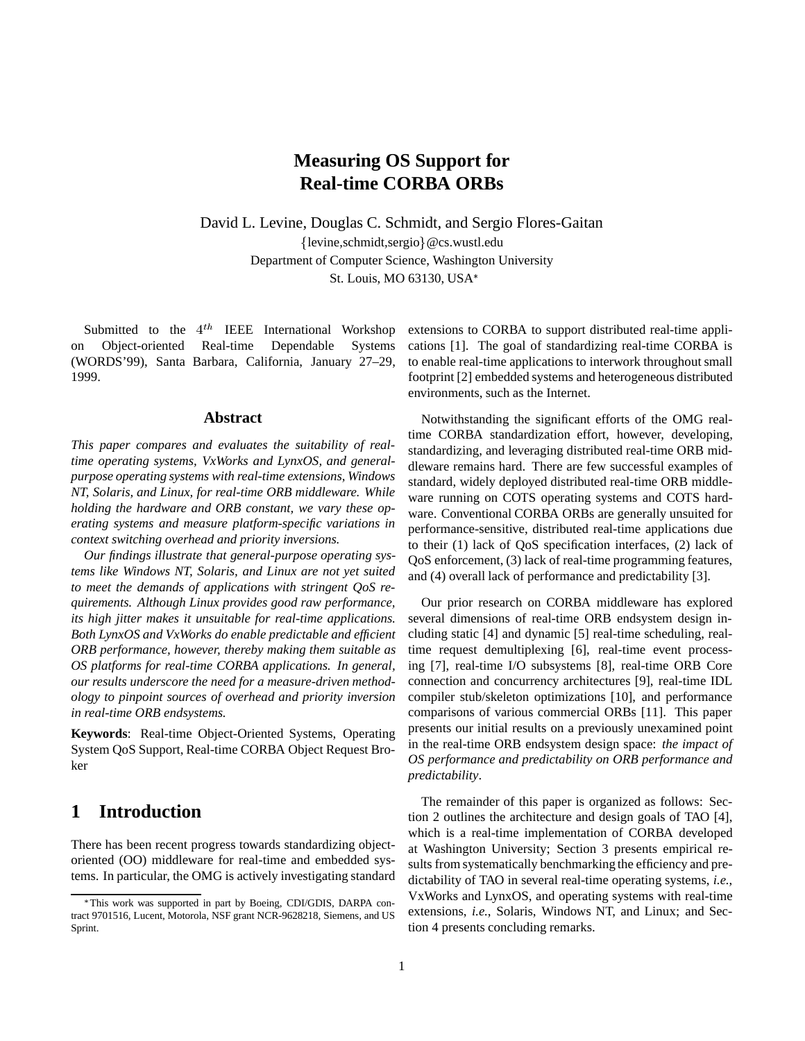# **Measuring OS Support for Real-time CORBA ORBs**

David L. Levine, Douglas C. Schmidt, and Sergio Flores-Gaitan  ${levine, schmidt, sergio} @cs.wust.$ edu Department of Computer Science, Washington University St. Louis, MO 63130, USA

Submitted to the  $4^{th}$  IEEE International Workshop on Object-oriented Real-time Dependable Systems (WORDS'99), Santa Barbara, California, January 27–29, 1999.

#### **Abstract**

*This paper compares and evaluates the suitability of realtime operating systems, VxWorks and LynxOS, and generalpurpose operating systems with real-time extensions, Windows NT, Solaris, and Linux, for real-time ORB middleware. While holding the hardware and ORB constant, we vary these operating systems and measure platform-specific variations in context switching overhead and priority inversions.*

*Our findings illustrate that general-purpose operating systems like Windows NT, Solaris, and Linux are not yet suited to meet the demands of applications with stringent QoS requirements. Although Linux provides good raw performance, its high jitter makes it unsuitable for real-time applications. Both LynxOS and VxWorks do enable predictable and efficient ORB performance, however, thereby making them suitable as OS platforms for real-time CORBA applications. In general, our results underscore the need for a measure-driven methodology to pinpoint sources of overhead and priority inversion in real-time ORB endsystems.*

**Keywords**: Real-time Object-Oriented Systems, Operating System QoS Support, Real-time CORBA Object Request Broker

## **1 Introduction**

There has been recent progress towards standardizing objectoriented (OO) middleware for real-time and embedded systems. In particular, the OMG is actively investigating standard extensions to CORBA to support distributed real-time applications [1]. The goal of standardizing real-time CORBA is to enable real-time applications to interwork throughout small footprint [2] embedded systems and heterogeneous distributed environments, such as the Internet.

Notwithstanding the significant efforts of the OMG realtime CORBA standardization effort, however, developing, standardizing, and leveraging distributed real-time ORB middleware remains hard. There are few successful examples of standard, widely deployed distributed real-time ORB middleware running on COTS operating systems and COTS hardware. Conventional CORBA ORBs are generally unsuited for performance-sensitive, distributed real-time applications due to their (1) lack of QoS specification interfaces, (2) lack of QoS enforcement, (3) lack of real-time programming features, and (4) overall lack of performance and predictability [3].

Our prior research on CORBA middleware has explored several dimensions of real-time ORB endsystem design including static [4] and dynamic [5] real-time scheduling, realtime request demultiplexing [6], real-time event processing [7], real-time I/O subsystems [8], real-time ORB Core connection and concurrency architectures [9], real-time IDL compiler stub/skeleton optimizations [10], and performance comparisons of various commercial ORBs [11]. This paper presents our initial results on a previously unexamined point in the real-time ORB endsystem design space: *the impact of OS performance and predictability on ORB performance and predictability*.

The remainder of this paper is organized as follows: Section 2 outlines the architecture and design goals of TAO [4], which is a real-time implementation of CORBA developed at Washington University; Section 3 presents empirical results from systematically benchmarking the efficiency and predictability of TAO in several real-time operating systems, *i.e.*, VxWorks and LynxOS, and operating systems with real-time extensions, *i.e.*, Solaris, Windows NT, and Linux; and Section 4 presents concluding remarks.

This work was supported in part by Boeing, CDI/GDIS, DARPA contract 9701516, Lucent, Motorola, NSF grant NCR-9628218, Siemens, and US Sprint.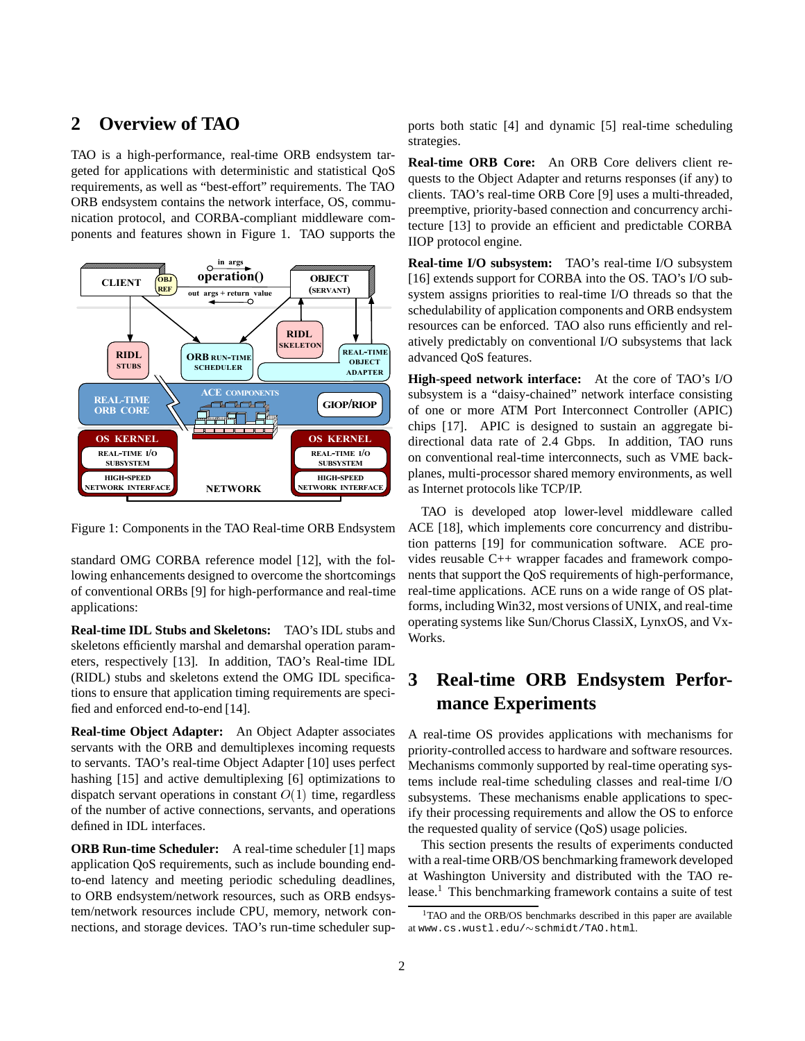### **2 Overview of TAO**

TAO is a high-performance, real-time ORB endsystem targeted for applications with deterministic and statistical QoS requirements, as well as "best-effort" requirements. The TAO ORB endsystem contains the network interface, OS, communication protocol, and CORBA-compliant middleware components and features shown in Figure 1. TAO supports the



Figure 1: Components in the TAO Real-time ORB Endsystem

standard OMG CORBA reference model [12], with the following enhancements designed to overcome the shortcomings of conventional ORBs [9] for high-performance and real-time applications:

**Real-time IDL Stubs and Skeletons:** TAO's IDL stubs and skeletons efficiently marshal and demarshal operation parameters, respectively [13]. In addition, TAO's Real-time IDL (RIDL) stubs and skeletons extend the OMG IDL specifications to ensure that application timing requirements are specified and enforced end-to-end [14].

**Real-time Object Adapter:** An Object Adapter associates servants with the ORB and demultiplexes incoming requests to servants. TAO's real-time Object Adapter [10] uses perfect hashing [15] and active demultiplexing [6] optimizations to dispatch servant operations in constant  $O(1)$  time, regardless of the number of active connections, servants, and operations defined in IDL interfaces.

**ORB Run-time Scheduler:** A real-time scheduler [1] maps application QoS requirements, such as include bounding endto-end latency and meeting periodic scheduling deadlines, to ORB endsystem/network resources, such as ORB endsystem/network resources include CPU, memory, network connections, and storage devices. TAO's run-time scheduler supports both static [4] and dynamic [5] real-time scheduling strategies.

**Real-time ORB Core:** An ORB Core delivers client requests to the Object Adapter and returns responses (if any) to clients. TAO's real-time ORB Core [9] uses a multi-threaded, preemptive, priority-based connection and concurrency architecture [13] to provide an efficient and predictable CORBA IIOP protocol engine.

**Real-time I/O subsystem:** TAO's real-time I/O subsystem [16] extends support for CORBA into the OS. TAO's I/O subsystem assigns priorities to real-time I/O threads so that the schedulability of application components and ORB endsystem resources can be enforced. TAO also runs efficiently and relatively predictably on conventional I/O subsystems that lack advanced QoS features.

**High-speed network interface:** At the core of TAO's I/O subsystem is a "daisy-chained" network interface consisting of one or more ATM Port Interconnect Controller (APIC) chips [17]. APIC is designed to sustain an aggregate bidirectional data rate of 2.4 Gbps. In addition, TAO runs on conventional real-time interconnects, such as VME backplanes, multi-processor shared memory environments, as well as Internet protocols like TCP/IP.

TAO is developed atop lower-level middleware called ACE [18], which implements core concurrency and distribution patterns [19] for communication software. ACE provides reusable C++ wrapper facades and framework components that support the QoS requirements of high-performance, real-time applications. ACE runs on a wide range of OS platforms, including Win32, most versions of UNIX, and real-time operating systems like Sun/Chorus ClassiX, LynxOS, and Vx-Works.

# **3 Real-time ORB Endsystem Performance Experiments**

A real-time OS provides applications with mechanisms for priority-controlled access to hardware and software resources. Mechanisms commonly supported by real-time operating systems include real-time scheduling classes and real-time I/O subsystems. These mechanisms enable applications to specify their processing requirements and allow the OS to enforce the requested quality of service (QoS) usage policies.

This section presents the results of experiments conducted with a real-time ORB/OS benchmarking framework developed at Washington University and distributed with the TAO release.1 This benchmarking framework contains a suite of test

<sup>&</sup>lt;sup>1</sup>TAO and the ORB/OS benchmarks described in this paper are available at www.cs.wustl.edu/ $\sim$ schmidt/TAO.html.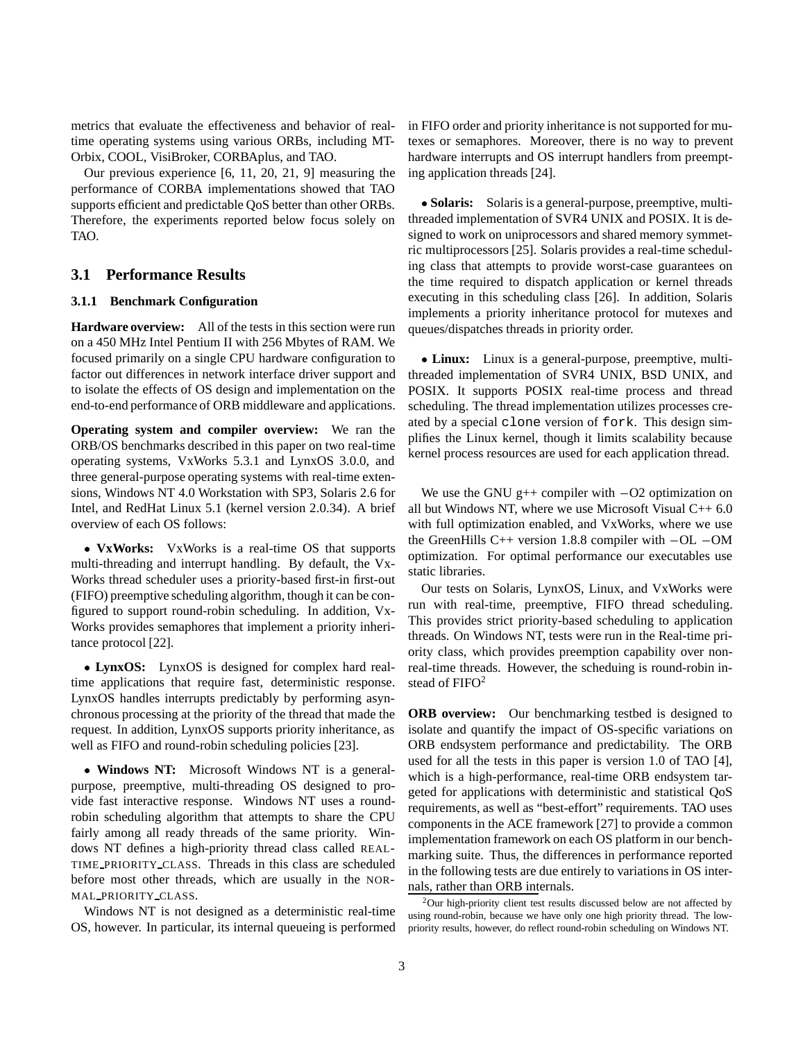metrics that evaluate the effectiveness and behavior of realtime operating systems using various ORBs, including MT-Orbix, COOL, VisiBroker, CORBAplus, and TAO.

Our previous experience [6, 11, 20, 21, 9] measuring the performance of CORBA implementations showed that TAO supports efficient and predictable QoS better than other ORBs. Therefore, the experiments reported below focus solely on TAO.

#### **3.1 Performance Results**

#### **3.1.1 Benchmark Configuration**

**Hardware overview:** All of the tests in this section were run on a 450 MHz Intel Pentium II with 256 Mbytes of RAM. We focused primarily on a single CPU hardware configuration to factor out differences in network interface driver support and to isolate the effects of OS design and implementation on the end-to-end performance of ORB middleware and applications.

**Operating system and compiler overview:** We ran the ORB/OS benchmarks described in this paper on two real-time operating systems, VxWorks 5.3.1 and LynxOS 3.0.0, and three general-purpose operating systems with real-time extensions, Windows NT 4.0 Workstation with SP3, Solaris 2.6 for Intel, and RedHat Linux 5.1 (kernel version 2.0.34). A brief overview of each OS follows:

 **VxWorks:** VxWorks is a real-time OS that supports multi-threading and interrupt handling. By default, the Vx-Works thread scheduler uses a priority-based first-in first-out (FIFO) preemptive scheduling algorithm, though it can be configured to support round-robin scheduling. In addition, Vx-Works provides semaphores that implement a priority inheritance protocol [22].

 **LynxOS:** LynxOS is designed for complex hard realtime applications that require fast, deterministic response. LynxOS handles interrupts predictably by performing asynchronous processing at the priority of the thread that made the request. In addition, LynxOS supports priority inheritance, as well as FIFO and round-robin scheduling policies [23].

 **Windows NT:** Microsoft Windows NT is a generalpurpose, preemptive, multi-threading OS designed to provide fast interactive response. Windows NT uses a roundrobin scheduling algorithm that attempts to share the CPU fairly among all ready threads of the same priority. Windows NT defines a high-priority thread class called REAL-TIME PRIORITY CLASS. Threads in this class are scheduled before most other threads, which are usually in the NOR-MAL PRIORITY CLASS.

Windows NT is not designed as a deterministic real-time OS, however. In particular, its internal queueing is performed in FIFO order and priority inheritance is not supported for mutexes or semaphores. Moreover, there is no way to prevent hardware interrupts and OS interrupt handlers from preempting application threads [24].

 **Solaris:** Solaris is a general-purpose, preemptive, multithreaded implementation of SVR4 UNIX and POSIX. It is designed to work on uniprocessors and shared memory symmetric multiprocessors [25]. Solaris provides a real-time scheduling class that attempts to provide worst-case guarantees on the time required to dispatch application or kernel threads executing in this scheduling class [26]. In addition, Solaris implements a priority inheritance protocol for mutexes and queues/dispatches threads in priority order.

 **Linux:** Linux is a general-purpose, preemptive, multithreaded implementation of SVR4 UNIX, BSD UNIX, and POSIX. It supports POSIX real-time process and thread scheduling. The thread implementation utilizes processes created by a special clone version of fork. This design simplifies the Linux kernel, though it limits scalability because kernel process resources are used for each application thread.

We use the GNU  $g++$  compiler with  $-O2$  optimization on all but Windows NT, where we use Microsoft Visual  $C_{++}$  6.0 with full optimization enabled, and VxWorks, where we use the GreenHills C++ version 1.8.8 compiler with  $-OL -OM$ optimization. For optimal performance our executables use static libraries.

Our tests on Solaris, LynxOS, Linux, and VxWorks were run with real-time, preemptive, FIFO thread scheduling. This provides strict priority-based scheduling to application threads. On Windows NT, tests were run in the Real-time priority class, which provides preemption capability over nonreal-time threads. However, the scheduing is round-robin instead of  $FIFO<sup>2</sup>$ 

**ORB overview:** Our benchmarking testbed is designed to isolate and quantify the impact of OS-specific variations on ORB endsystem performance and predictability. The ORB used for all the tests in this paper is version 1.0 of TAO [4], which is a high-performance, real-time ORB endsystem targeted for applications with deterministic and statistical QoS requirements, as well as "best-effort" requirements. TAO uses components in the ACE framework [27] to provide a common implementation framework on each OS platform in our benchmarking suite. Thus, the differences in performance reported in the following tests are due entirely to variations in OS internals, rather than ORB internals.

 $2$ Our high-priority client test results discussed below are not affected by using round-robin, because we have only one high priority thread. The lowpriority results, however, do reflect round-robin scheduling on Windows NT.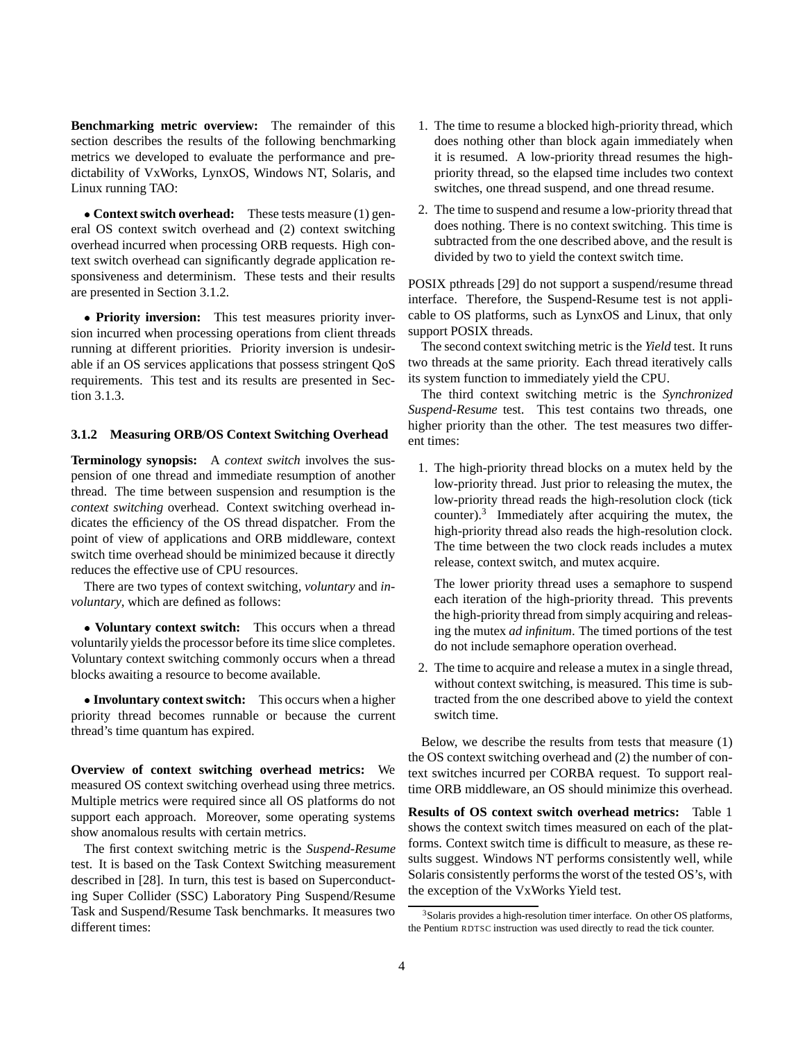**Benchmarking metric overview:** The remainder of this section describes the results of the following benchmarking metrics we developed to evaluate the performance and predictability of VxWorks, LynxOS, Windows NT, Solaris, and Linux running TAO:

 **Context switch overhead:** These tests measure (1) general OS context switch overhead and (2) context switching overhead incurred when processing ORB requests. High context switch overhead can significantly degrade application responsiveness and determinism. These tests and their results are presented in Section 3.1.2.

 **Priority inversion:** This test measures priority inversion incurred when processing operations from client threads running at different priorities. Priority inversion is undesirable if an OS services applications that possess stringent QoS requirements. This test and its results are presented in Section 3.1.3.

#### **3.1.2 Measuring ORB/OS Context Switching Overhead**

**Terminology synopsis:** A *context switch* involves the suspension of one thread and immediate resumption of another thread. The time between suspension and resumption is the *context switching* overhead. Context switching overhead indicates the efficiency of the OS thread dispatcher. From the point of view of applications and ORB middleware, context switch time overhead should be minimized because it directly reduces the effective use of CPU resources.

There are two types of context switching, *voluntary* and *involuntary*, which are defined as follows:

 **Voluntary context switch:** This occurs when a thread voluntarily yields the processor before its time slice completes. Voluntary context switching commonly occurs when a thread blocks awaiting a resource to become available.

 **Involuntary context switch:** This occurs when a higher priority thread becomes runnable or because the current thread's time quantum has expired.

**Overview of context switching overhead metrics:** We measured OS context switching overhead using three metrics. Multiple metrics were required since all OS platforms do not support each approach. Moreover, some operating systems show anomalous results with certain metrics.

The first context switching metric is the *Suspend-Resume* test. It is based on the Task Context Switching measurement described in [28]. In turn, this test is based on Superconducting Super Collider (SSC) Laboratory Ping Suspend/Resume Task and Suspend/Resume Task benchmarks. It measures two different times:

- 1. The time to resume a blocked high-priority thread, which does nothing other than block again immediately when it is resumed. A low-priority thread resumes the highpriority thread, so the elapsed time includes two context switches, one thread suspend, and one thread resume.
- 2. The time to suspend and resume a low-priority thread that does nothing. There is no context switching. This time is subtracted from the one described above, and the result is divided by two to yield the context switch time.

POSIX pthreads [29] do not support a suspend/resume thread interface. Therefore, the Suspend-Resume test is not applicable to OS platforms, such as LynxOS and Linux, that only support POSIX threads.

The second context switching metric is the *Yield* test. It runs two threads at the same priority. Each thread iteratively calls its system function to immediately yield the CPU.

The third context switching metric is the *Synchronized Suspend-Resume* test. This test contains two threads, one higher priority than the other. The test measures two different times:

1. The high-priority thread blocks on a mutex held by the low-priority thread. Just prior to releasing the mutex, the low-priority thread reads the high-resolution clock (tick counter).3 Immediately after acquiring the mutex, the high-priority thread also reads the high-resolution clock. The time between the two clock reads includes a mutex release, context switch, and mutex acquire.

The lower priority thread uses a semaphore to suspend each iteration of the high-priority thread. This prevents the high-priority thread from simply acquiring and releasing the mutex *ad infinitum*. The timed portions of the test do not include semaphore operation overhead.

2. The time to acquire and release a mutex in a single thread, without context switching, is measured. This time is subtracted from the one described above to yield the context switch time.

Below, we describe the results from tests that measure (1) the OS context switching overhead and (2) the number of context switches incurred per CORBA request. To support realtime ORB middleware, an OS should minimize this overhead.

**Results of OS context switch overhead metrics:** Table 1 shows the context switch times measured on each of the platforms. Context switch time is difficult to measure, as these results suggest. Windows NT performs consistently well, while Solaris consistently performs the worst of the tested OS's, with the exception of the VxWorks Yield test.

<sup>&</sup>lt;sup>3</sup>Solaris provides a high-resolution timer interface. On other OS platforms, the Pentium RDTSC instruction was used directly to read the tick counter.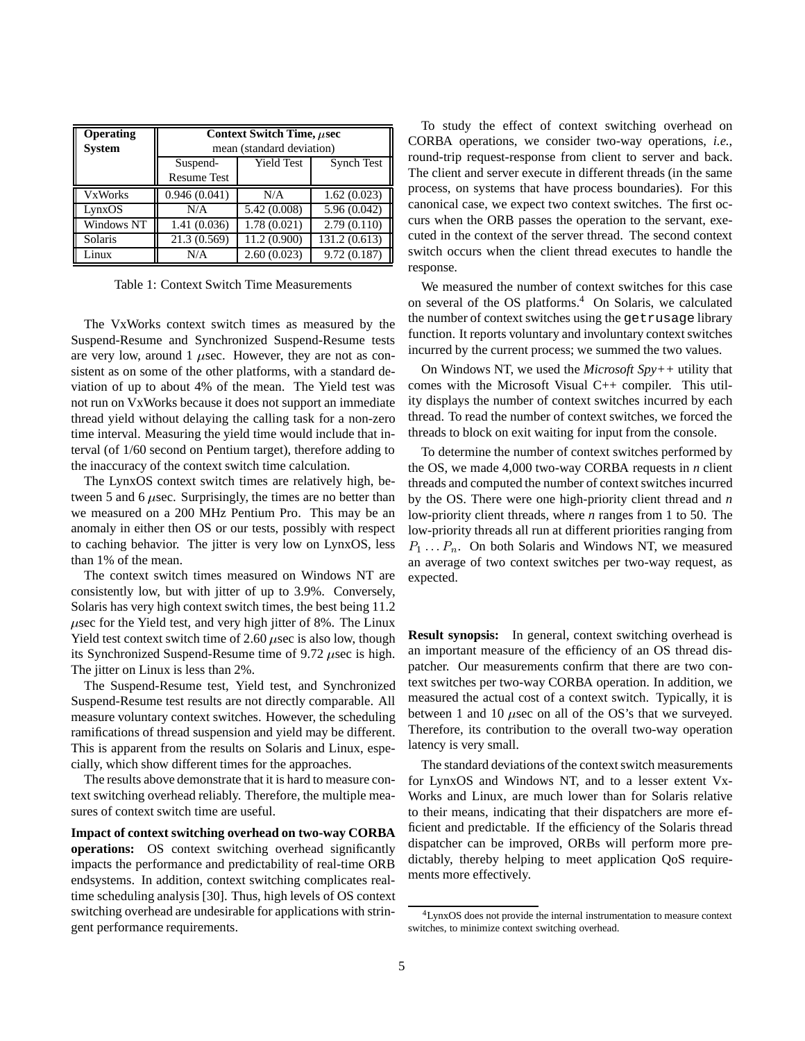| Operating      | Context Switch Time, <i>µsec</i> |                   |                   |
|----------------|----------------------------------|-------------------|-------------------|
| <b>System</b>  | mean (standard deviation)        |                   |                   |
|                | Suspend-                         | <b>Yield Test</b> | <b>Synch Test</b> |
|                | <b>Resume Test</b>               |                   |                   |
| <b>VxWorks</b> | 0.946(0.041)                     | N/A               | 1.62(0.023)       |
| LynxOS         | N/A                              | 5.42 (0.008)      | 5.96(0.042)       |
| Windows NT     | 1.41(0.036)                      | 1.78(0.021)       | 2.79(0.110)       |
| Solaris        | 21.3 (0.569)                     | 11.2 (0.900)      | 131.2 (0.613)     |
| Linux          | N/A                              | 2.60(0.023)       | 9.72(0.187)       |

Table 1: Context Switch Time Measurements

The VxWorks context switch times as measured by the Suspend-Resume and Synchronized Suspend-Resume tests are very low, around 1  $\mu$ sec. However, they are not as consistent as on some of the other platforms, with a standard deviation of up to about 4% of the mean. The Yield test was not run on VxWorks because it does not support an immediate thread yield without delaying the calling task for a non-zero time interval. Measuring the yield time would include that interval (of 1/60 second on Pentium target), therefore adding to the inaccuracy of the context switch time calculation.

The LynxOS context switch times are relatively high, between 5 and 6  $\mu$ sec. Surprisingly, the times are no better than we measured on a 200 MHz Pentium Pro. This may be an anomaly in either then OS or our tests, possibly with respect to caching behavior. The jitter is very low on LynxOS, less than 1% of the mean.

The context switch times measured on Windows NT are consistently low, but with jitter of up to 3.9%. Conversely, Solaris has very high context switch times, the best being 11.2  $\mu$ sec for the Yield test, and very high jitter of 8%. The Linux Yield test context switch time of 2.60  $\mu$ sec is also low, though its Synchronized Suspend-Resume time of  $9.72 \mu$ sec is high. The jitter on Linux is less than  $2\%$ .

The Suspend-Resume test, Yield test, and Synchronized Suspend-Resume test results are not directly comparable. All measure voluntary context switches. However, the scheduling ramifications of thread suspension and yield may be different. This is apparent from the results on Solaris and Linux, especially, which show different times for the approaches.

The results above demonstrate that it is hard to measure context switching overhead reliably. Therefore, the multiple measures of context switch time are useful.

**Impact of context switching overhead on two-way CORBA operations:** OS context switching overhead significantly impacts the performance and predictability of real-time ORB endsystems. In addition, context switching complicates realtime scheduling analysis [30]. Thus, high levels of OS context switching overhead are undesirable for applications with stringent performance requirements.

To study the effect of context switching overhead on CORBA operations, we consider two-way operations, *i.e.*, round-trip request-response from client to server and back. The client and server execute in different threads (in the same process, on systems that have process boundaries). For this canonical case, we expect two context switches. The first occurs when the ORB passes the operation to the servant, executed in the context of the server thread. The second context switch occurs when the client thread executes to handle the response.

We measured the number of context switches for this case on several of the OS platforms.<sup>4</sup> On Solaris, we calculated the number of context switches using the getrusage library function. It reports voluntary and involuntary context switches incurred by the current process; we summed the two values.

On Windows NT, we used the *Microsoft Spy++* utility that comes with the Microsoft Visual C++ compiler. This utility displays the number of context switches incurred by each thread. To read the number of context switches, we forced the threads to block on exit waiting for input from the console.

To determine the number of context switches performed by the OS, we made 4,000 two-way CORBA requests in *n* client threads and computed the number of context switches incurred by the OS. There were one high-priority client thread and *n* low-priority client threads, where *n* ranges from 1 to 50. The low-priority threads all run at different priorities ranging from  $P_1 \ldots P_n$ . On both Solaris and Windows NT, we measured an average of two context switches per two-way request, as expected.

**Result synopsis:** In general, context switching overhead is an important measure of the efficiency of an OS thread dispatcher. Our measurements confirm that there are two context switches per two-way CORBA operation. In addition, we measured the actual cost of a context switch. Typically, it is between 1 and 10  $\mu$ sec on all of the OS's that we surveyed. Therefore, its contribution to the overall two-way operation latency is very small.

The standard deviations of the context switch measurements for LynxOS and Windows NT, and to a lesser extent Vx-Works and Linux, are much lower than for Solaris relative to their means, indicating that their dispatchers are more efficient and predictable. If the efficiency of the Solaris thread dispatcher can be improved, ORBs will perform more predictably, thereby helping to meet application QoS requirements more effectively.

<sup>4</sup>LynxOS does not provide the internal instrumentation to measure context switches, to minimize context switching overhead.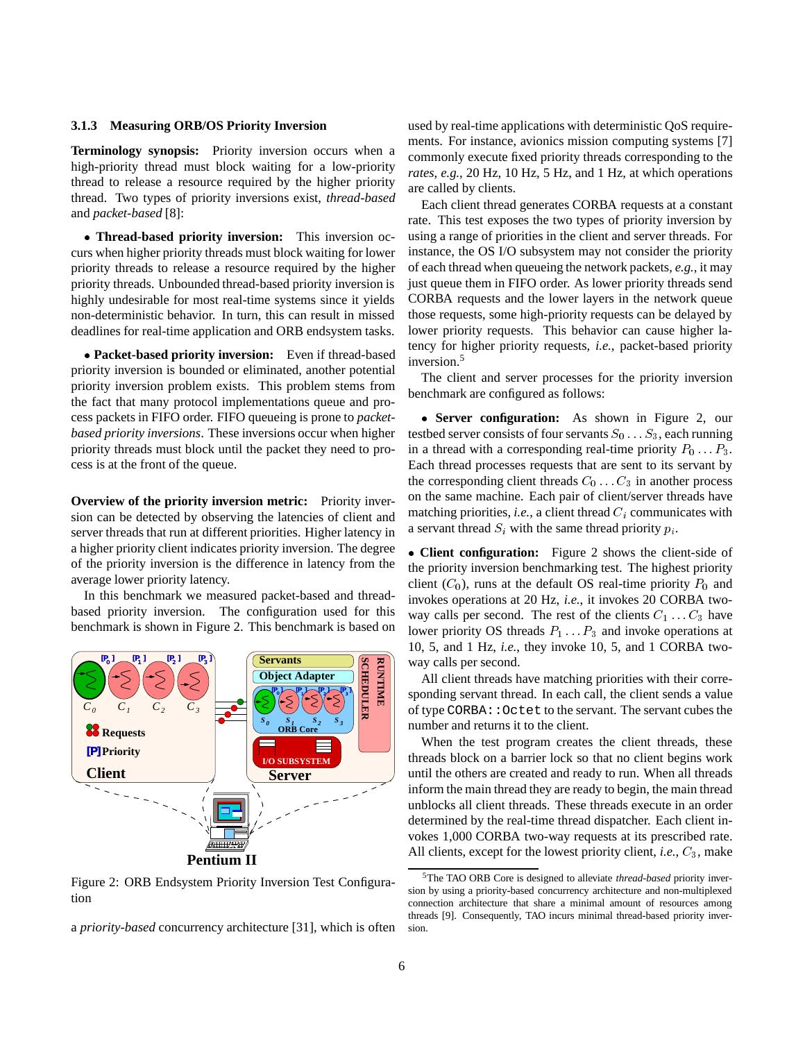#### **3.1.3 Measuring ORB/OS Priority Inversion**

**Terminology synopsis:** Priority inversion occurs when a high-priority thread must block waiting for a low-priority thread to release a resource required by the higher priority thread. Two types of priority inversions exist, *thread-based* and *packet-based* [8]:

 **Thread-based priority inversion:** This inversion occurs when higher priority threads must block waiting for lower priority threads to release a resource required by the higher priority threads. Unbounded thread-based priority inversion is highly undesirable for most real-time systems since it yields non-deterministic behavior. In turn, this can result in missed deadlines for real-time application and ORB endsystem tasks.

 **Packet-based priority inversion:** Even if thread-based priority inversion is bounded or eliminated, another potential priority inversion problem exists. This problem stems from the fact that many protocol implementations queue and process packets in FIFO order. FIFO queueing is prone to *packetbased priority inversions*. These inversions occur when higher priority threads must block until the packet they need to process is at the front of the queue.

**Overview of the priority inversion metric:** Priority inversion can be detected by observing the latencies of client and server threads that run at different priorities. Higher latency in a higher priority client indicates priority inversion. The degree of the priority inversion is the difference in latency from the average lower priority latency.

In this benchmark we measured packet-based and threadbased priority inversion. The configuration used for this benchmark is shown in Figure 2. This benchmark is based on



Figure 2: ORB Endsystem Priority Inversion Test Configuration

a *priority-based* concurrency architecture [31], which is often

used by real-time applications with deterministic QoS requirements. For instance, avionics mission computing systems [7] commonly execute fixed priority threads corresponding to the *rates*, *e.g.*, 20 Hz, 10 Hz, 5 Hz, and 1 Hz, at which operations are called by clients.

Each client thread generates CORBA requests at a constant rate. This test exposes the two types of priority inversion by using a range of priorities in the client and server threads. For instance, the OS I/O subsystem may not consider the priority of each thread when queueing the network packets, *e.g.*, it may just queue them in FIFO order. As lower priority threads send CORBA requests and the lower layers in the network queue those requests, some high-priority requests can be delayed by lower priority requests. This behavior can cause higher latency for higher priority requests, *i.e.*, packet-based priority inversion.<sup>5</sup>

The client and server processes for the priority inversion benchmark are configured as follows:

 **Server configuration:** As shown in Figure 2, our testbed server consists of four servants  $S_0 \ldots S_3$ , each running in a thread with a corresponding real-time priority  $P_0 \ldots P_3$ . Each thread processes requests that are sent to its servant by the corresponding client threads  $C_0 \ldots C_3$  in another process on the same machine. Each pair of client/server threads have matching priorities, *i.e.*, a client thread  $C_i$  communicates with a servant thread  $S_i$  with the same thread priority  $p_i$ .

 **Client configuration:** Figure 2 shows the client-side of the priority inversion benchmarking test. The highest priority client  $(C_0)$ , runs at the default OS real-time priority  $P_0$  and invokes operations at 20 Hz, *i.e.*, it invokes 20 CORBA twoway calls per second. The rest of the clients  $C_1 \ldots C_3$  have lower priority OS threads  $P_1 \ldots P_3$  and invoke operations at 10, 5, and 1 Hz, *i.e.*, they invoke 10, 5, and 1 CORBA twoway calls per second.

All client threads have matching priorities with their corresponding servant thread. In each call, the client sends a value of type CORBA::Octet to the servant. The servant cubes the number and returns it to the client.

When the test program creates the client threads, these threads block on a barrier lock so that no client begins work until the others are created and ready to run. When all threads inform the main thread they are ready to begin, the main thread unblocks all client threads. These threads execute in an order determined by the real-time thread dispatcher. Each client invokes 1,000 CORBA two-way requests at its prescribed rate. All clients, except for the lowest priority client, *i.e.*,  $C_3$ , make

<sup>5</sup>The TAO ORB Core is designed to alleviate *thread-based* priority inversion by using a priority-based concurrency architecture and non-multiplexed connection architecture that share a minimal amount of resources among threads [9]. Consequently, TAO incurs minimal thread-based priority inversion.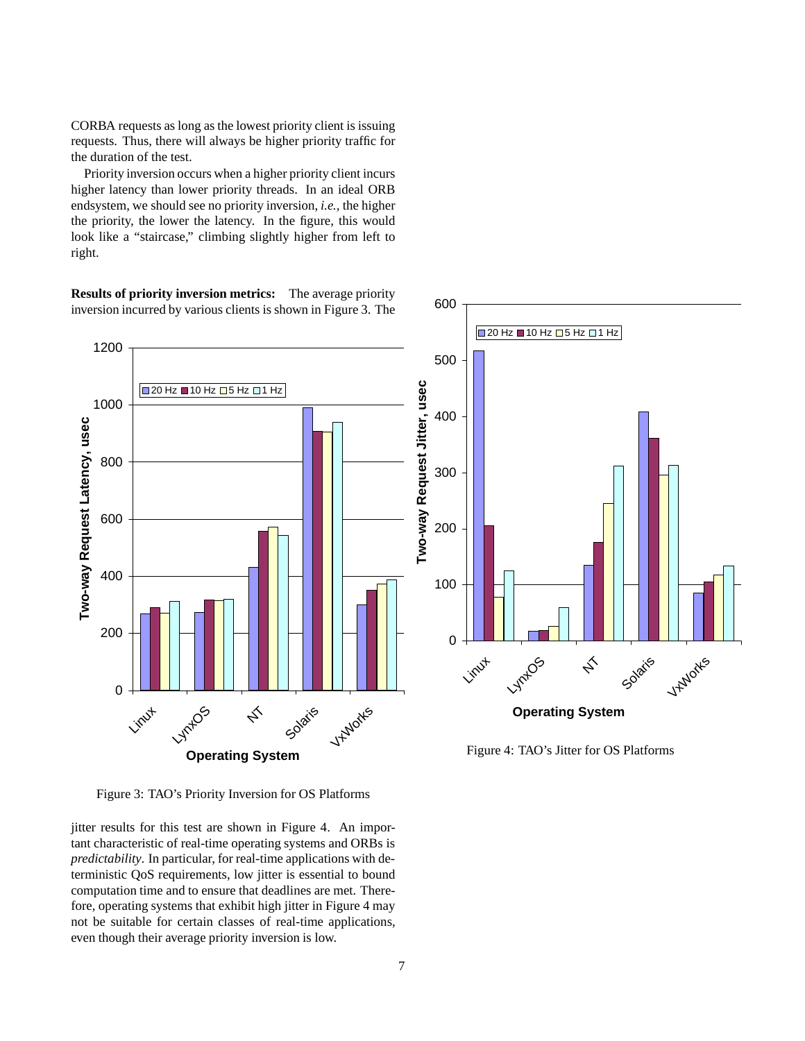CORBA requests as long as the lowest priority client is issuing requests. Thus, there will always be higher priority traffic for the duration of the test.

Priority inversion occurs when a higher priority client incurs higher latency than lower priority threads. In an ideal ORB endsystem, we should see no priority inversion, *i.e.*, the higher the priority, the lower the latency. In the figure, this would look like a "staircase," climbing slightly higher from left to right.

**Results of priority inversion metrics:** The average priority inversion incurred by various clients is shown in Figure 3. The



600

Figure 3: TAO's Priority Inversion for OS Platforms

jitter results for this test are shown in Figure 4. An important characteristic of real-time operating systems and ORBs is *predictability*. In particular, for real-time applications with deterministic QoS requirements, low jitter is essential to bound computation time and to ensure that deadlines are met. Therefore, operating systems that exhibit high jitter in Figure 4 may not be suitable for certain classes of real-time applications, even though their average priority inversion is low.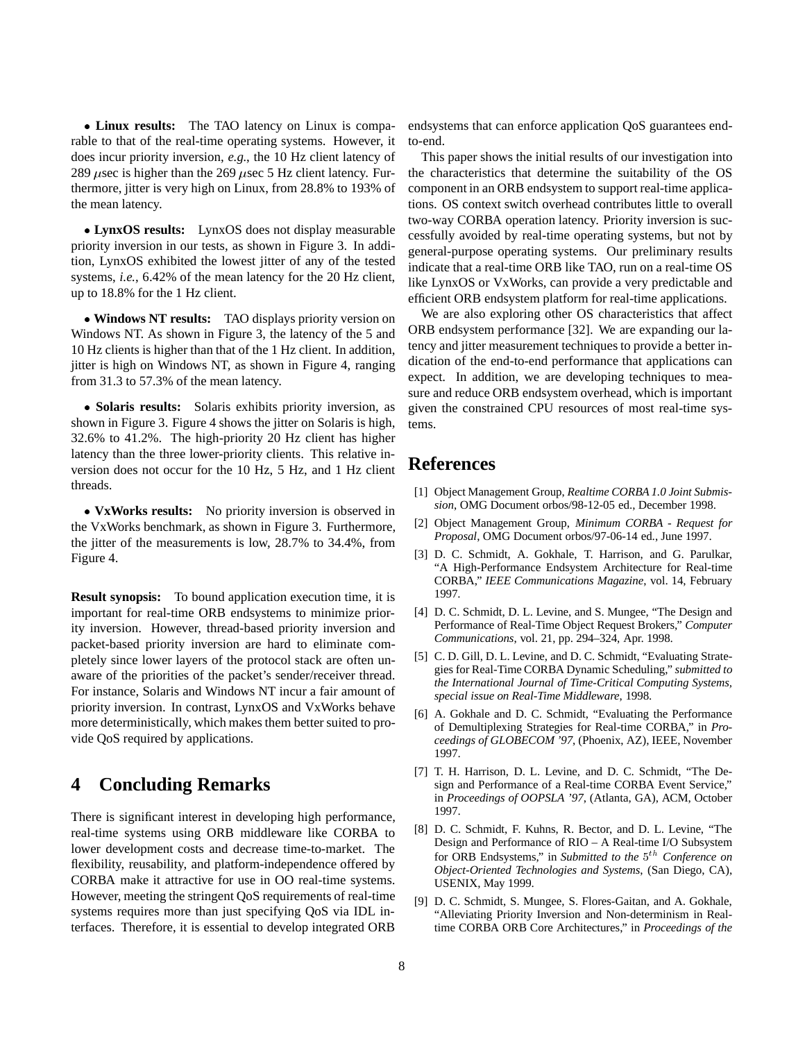**Linux results:** The TAO latency on Linux is comparable to that of the real-time operating systems. However, it does incur priority inversion, *e.g.*, the 10 Hz client latency of 289  $\mu$ sec is higher than the 269  $\mu$ sec 5 Hz client latency. Furthermore, jitter is very high on Linux, from 28.8% to 193% of the mean latency.

 **LynxOS results:** LynxOS does not display measurable priority inversion in our tests, as shown in Figure 3. In addition, LynxOS exhibited the lowest jitter of any of the tested systems, *i.e.*, 6.42% of the mean latency for the 20 Hz client, up to 18.8% for the 1 Hz client.

 **Windows NT results:** TAO displays priority version on Windows NT. As shown in Figure 3, the latency of the 5 and 10 Hz clients is higher than that of the 1 Hz client. In addition, jitter is high on Windows NT, as shown in Figure 4, ranging from 31.3 to 57.3% of the mean latency.

 **Solaris results:** Solaris exhibits priority inversion, as shown in Figure 3. Figure 4 shows the jitter on Solaris is high, 32.6% to 41.2%. The high-priority 20 Hz client has higher latency than the three lower-priority clients. This relative inversion does not occur for the 10 Hz, 5 Hz, and 1 Hz client threads.

 **VxWorks results:** No priority inversion is observed in the VxWorks benchmark, as shown in Figure 3. Furthermore, the jitter of the measurements is low, 28.7% to 34.4%, from Figure 4.

**Result synopsis:** To bound application execution time, it is important for real-time ORB endsystems to minimize priority inversion. However, thread-based priority inversion and packet-based priority inversion are hard to eliminate completely since lower layers of the protocol stack are often unaware of the priorities of the packet's sender/receiver thread. For instance, Solaris and Windows NT incur a fair amount of priority inversion. In contrast, LynxOS and VxWorks behave more deterministically, which makes them better suited to provide QoS required by applications.

### **4 Concluding Remarks**

There is significant interest in developing high performance, real-time systems using ORB middleware like CORBA to lower development costs and decrease time-to-market. The flexibility, reusability, and platform-independence offered by CORBA make it attractive for use in OO real-time systems. However, meeting the stringent QoS requirements of real-time systems requires more than just specifying QoS via IDL interfaces. Therefore, it is essential to develop integrated ORB endsystems that can enforce application QoS guarantees endto-end.

This paper shows the initial results of our investigation into the characteristics that determine the suitability of the OS component in an ORB endsystem to support real-time applications. OS context switch overhead contributes little to overall two-way CORBA operation latency. Priority inversion is successfully avoided by real-time operating systems, but not by general-purpose operating systems. Our preliminary results indicate that a real-time ORB like TAO, run on a real-time OS like LynxOS or VxWorks, can provide a very predictable and efficient ORB endsystem platform for real-time applications.

We are also exploring other OS characteristics that affect ORB endsystem performance [32]. We are expanding our latency and jitter measurement techniques to provide a better indication of the end-to-end performance that applications can expect. In addition, we are developing techniques to measure and reduce ORB endsystem overhead, which is important given the constrained CPU resources of most real-time systems.

## **References**

- [1] Object Management Group, *Realtime CORBA 1.0 Joint Submission*, OMG Document orbos/98-12-05 ed., December 1998.
- [2] Object Management Group, *Minimum CORBA Request for Proposal*, OMG Document orbos/97-06-14 ed., June 1997.
- [3] D. C. Schmidt, A. Gokhale, T. Harrison, and G. Parulkar, "A High-Performance Endsystem Architecture for Real-time CORBA," *IEEE Communications Magazine*, vol. 14, February 1997.
- [4] D. C. Schmidt, D. L. Levine, and S. Mungee, "The Design and Performance of Real-Time Object Request Brokers," *Computer Communications*, vol. 21, pp. 294–324, Apr. 1998.
- [5] C. D. Gill, D. L. Levine, and D. C. Schmidt, "Evaluating Strategies for Real-Time CORBA Dynamic Scheduling," *submitted to the International Journal of Time-Critical Computing Systems, special issue on Real-Time Middleware*, 1998.
- [6] A. Gokhale and D. C. Schmidt, "Evaluating the Performance of Demultiplexing Strategies for Real-time CORBA," in *Proceedings of GLOBECOM '97*, (Phoenix, AZ), IEEE, November 1997.
- [7] T. H. Harrison, D. L. Levine, and D. C. Schmidt, "The Design and Performance of a Real-time CORBA Event Service," in *Proceedings of OOPSLA '97*, (Atlanta, GA), ACM, October 1997.
- [8] D. C. Schmidt, F. Kuhns, R. Bector, and D. L. Levine, "The Design and Performance of RIO – A Real-time I/O Subsystem for ORB Endsystems," in *Submitted to the*  $5<sup>th</sup>$  *Conference on Object-Oriented Technologies and Systems*, (San Diego, CA), USENIX, May 1999.
- [9] D. C. Schmidt, S. Mungee, S. Flores-Gaitan, and A. Gokhale, "Alleviating Priority Inversion and Non-determinism in Realtime CORBA ORB Core Architectures," in *Proceedings of the*